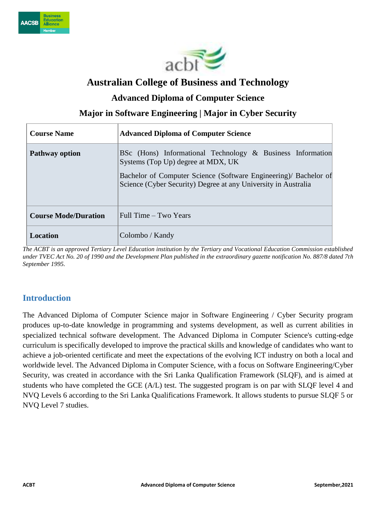



## **Australian College of Business and Technology**

### **Advanced Diploma of Computer Science**

**Major in Software Engineering | Major in Cyber Security**

| <b>Course Name</b>          | <b>Advanced Diploma of Computer Science</b>                                                                                                                                                                                            |
|-----------------------------|----------------------------------------------------------------------------------------------------------------------------------------------------------------------------------------------------------------------------------------|
| <b>Pathway option</b>       | BSc (Hons) Informational Technology & Business Information<br>Systems (Top Up) degree at MDX, UK<br>Bachelor of Computer Science (Software Engineering)/ Bachelor of<br>Science (Cyber Security) Degree at any University in Australia |
| <b>Course Mode/Duration</b> | Full Time – Two Years                                                                                                                                                                                                                  |
| Location                    | Colombo / Kandy                                                                                                                                                                                                                        |

*The ACBT is an approved Tertiary Level Education institution by the Tertiary and Vocational Education Commission established under TVEC Act No. 20 of 1990 and the Development Plan published in the extraordinary gazette notification No. 887/8 dated 7th September 1995.*

### **Introduction**

The Advanced Diploma of Computer Science major in Software Engineering / Cyber Security program produces up-to-date knowledge in programming and systems development, as well as current abilities in specialized technical software development. The Advanced Diploma in Computer Science's cutting-edge curriculum is specifically developed to improve the practical skills and knowledge of candidates who want to achieve a job-oriented certificate and meet the expectations of the evolving ICT industry on both a local and worldwide level. The Advanced Diploma in Computer Science, with a focus on Software Engineering/Cyber Security, was created in accordance with the Sri Lanka Qualification Framework (SLQF), and is aimed at students who have completed the GCE (A/L) test. The suggested program is on par with SLQF level 4 and NVQ Levels 6 according to the Sri Lanka Qualifications Framework. It allows students to pursue SLQF 5 or NVQ Level 7 studies.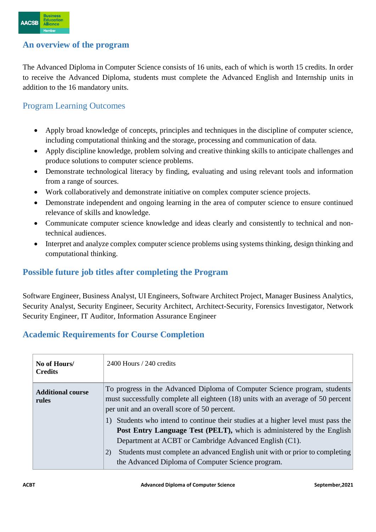

#### **An overview of the program**

The Advanced Diploma in Computer Science consists of 16 units, each of which is worth 15 credits. In order to receive the Advanced Diploma, students must complete the Advanced English and Internship units in addition to the 16 mandatory units.

### Program Learning Outcomes

- Apply broad knowledge of concepts, principles and techniques in the discipline of computer science, including computational thinking and the storage, processing and communication of data.
- Apply discipline knowledge, problem solving and creative thinking skills to anticipate challenges and produce solutions to computer science problems.
- Demonstrate technological literacy by finding, evaluating and using relevant tools and information from a range of sources.
- Work collaboratively and demonstrate initiative on complex computer science projects.
- Demonstrate independent and ongoing learning in the area of computer science to ensure continued relevance of skills and knowledge.
- Communicate computer science knowledge and ideas clearly and consistently to technical and nontechnical audiences.
- Interpret and analyze complex computer science problems using systems thinking, design thinking and computational thinking.

### **Possible future job titles after completing the Program**

Software Engineer, Business Analyst, UI Engineers, Software Architect Project, Manager Business Analytics, Security Analyst, Security Engineer, Security Architect, Architect-Security, Forensics Investigator, Network Security Engineer, IT Auditor, Information Assurance Engineer

### **Academic Requirements for Course Completion**

| No of Hours/<br><b>Credits</b>    | $2400$ Hours / 240 credits                                                                                                                                                                                              |  |  |  |
|-----------------------------------|-------------------------------------------------------------------------------------------------------------------------------------------------------------------------------------------------------------------------|--|--|--|
| <b>Additional course</b><br>rules | To progress in the Advanced Diploma of Computer Science program, students<br>must successfully complete all eighteen (18) units with an average of 50 percent<br>per unit and an overall score of 50 percent.           |  |  |  |
|                                   | Students who intend to continue their studies at a higher level must pass the<br><b>Post Entry Language Test (PELT),</b> which is administered by the English<br>Department at ACBT or Cambridge Advanced English (C1). |  |  |  |
|                                   | Students must complete an advanced English unit with or prior to completing<br>2)<br>the Advanced Diploma of Computer Science program.                                                                                  |  |  |  |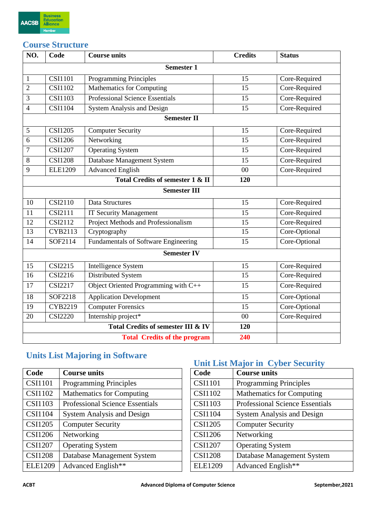

### **Course Structure**

| NO.            | Code           | <b>Course units</b>                    | <b>Credits</b> | <b>Status</b> |
|----------------|----------------|----------------------------------------|----------------|---------------|
|                |                | <b>Semester 1</b>                      |                |               |
| $\mathbf{1}$   | <b>CSI1101</b> | Programming Principles                 | 15             | Core-Required |
| $\overline{2}$ | <b>CSI1102</b> | Mathematics for Computing              | 15             | Core-Required |
| 3              | <b>CSI1103</b> | <b>Professional Science Essentials</b> | 15             | Core-Required |
| $\overline{4}$ | <b>CSI1104</b> | System Analysis and Design             | 15             | Core-Required |
|                |                | <b>Semester II</b>                     |                |               |
| 5              | <b>CSI1205</b> | <b>Computer Security</b>               | 15             | Core-Required |
| 6              | <b>CSI1206</b> | Networking                             | 15             | Core-Required |
| 7              | <b>CSI1207</b> | <b>Operating System</b>                | 15             | Core-Required |
| 8              | <b>CSI1208</b> | Database Management System             | 15             | Core-Required |
| 9              | <b>ELE1209</b> | <b>Advanced English</b>                | 00             | Core-Required |
|                |                | Total Credits of semester 1 & II       | 120            |               |
|                |                | <b>Semester III</b>                    |                |               |
| 10             | <b>CSI2110</b> | Data Structures                        | 15             | Core-Required |
| 11             | <b>CSI2111</b> | <b>IT Security Management</b>          | 15             | Core-Required |
| 12             | CSI2112        | Project Methods and Professionalism    | 15             | Core-Required |
| 13             | CYB2113        | Cryptography                           | 15             | Core-Optional |
| 14             | SOF2114        | Fundamentals of Software Engineering   | 15             | Core-Optional |
|                |                | <b>Semester IV</b>                     |                |               |
| 15             | <b>CSI2215</b> | Intelligence System                    | 15             | Core-Required |
| 16             | <b>CSI2216</b> | Distributed System                     | 15             | Core-Required |
| 17             | <b>CSI2217</b> | Object Oriented Programming with C++   | 15             | Core-Required |
| 18             | SOF2218        | <b>Application Development</b>         | 15             | Core-Optional |
| 19             | <b>CYB2219</b> | <b>Computer Forensics</b>              | 15             | Core-Optional |
| 20             | <b>CSI2220</b> | Internship project*                    | 0 <sup>0</sup> | Core-Required |
|                |                | Total Credits of semester III & IV     | 120            |               |
|                |                | <b>Total Credits of the program</b>    | 240            |               |

## **Units List Majoring in Software**

| Code           | <b>Course units</b>                    | Code           | <b>Course units</b>                    |
|----------------|----------------------------------------|----------------|----------------------------------------|
| <b>CSI1101</b> | <b>Programming Principles</b>          | <b>CSI1101</b> | <b>Programming Principles</b>          |
| <b>CSI1102</b> | <b>Mathematics for Computing</b>       | <b>CSI1102</b> | <b>Mathematics for Computing</b>       |
| <b>CSI1103</b> | <b>Professional Science Essentials</b> | <b>CSI1103</b> | <b>Professional Science Essentials</b> |
| <b>CSI1104</b> | <b>System Analysis and Design</b>      | <b>CSI1104</b> | <b>System Analysis and Design</b>      |
| <b>CSI1205</b> | <b>Computer Security</b>               | <b>CSI1205</b> | <b>Computer Security</b>               |
| <b>CSI1206</b> | Networking                             | <b>CSI1206</b> | Networking                             |
| <b>CSI1207</b> | <b>Operating System</b>                | <b>CSI1207</b> | <b>Operating System</b>                |
| <b>CSI1208</b> | Database Management System             | <b>CSI1208</b> | Database Management System             |
| <b>ELE1209</b> | Advanced English**                     | <b>ELE1209</b> | Advanced English**                     |

# **Unit List Major in Cyber Security**

| Code           | <b>Course units</b>                    |
|----------------|----------------------------------------|
| <b>CSI1101</b> | <b>Programming Principles</b>          |
| <b>CSI1102</b> | <b>Mathematics for Computing</b>       |
| <b>CSI1103</b> | <b>Professional Science Essentials</b> |
| <b>CSI1104</b> | <b>System Analysis and Design</b>      |
| <b>CSI1205</b> | <b>Computer Security</b>               |
| <b>CSI1206</b> | Networking                             |
| <b>CSI1207</b> | <b>Operating System</b>                |
| <b>CSI1208</b> | Database Management System             |
| <b>ELE1209</b> | Advanced English**                     |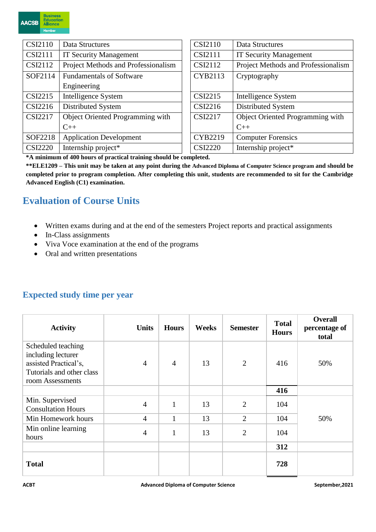

| <b>CSI2110</b> | Data Structures                     |  | <b>CSI2110</b> | Data Structures                     |
|----------------|-------------------------------------|--|----------------|-------------------------------------|
| <b>CSI2111</b> | <b>IT Security Management</b>       |  | <b>CSI2111</b> | <b>IT Security Management</b>       |
| CSI2112        | Project Methods and Professionalism |  | CSI2112        | Project Methods and Professionalism |
| SOF2114        | <b>Fundamentals of Software</b>     |  | CYB2113        | Cryptography                        |
|                | Engineering                         |  |                |                                     |
| CSI2215        | Intelligence System                 |  | <b>CSI2215</b> | Intelligence System                 |
| CSI2216        | Distributed System                  |  | CSI2216        | Distributed System                  |
| <b>CSI2217</b> | Object Oriented Programming with    |  | <b>CSI2217</b> | Object Oriented Programming with    |
|                | $C++$                               |  |                | $C++$                               |
| SOF2218        | <b>Application Development</b>      |  | CYB2219        | <b>Computer Forensics</b>           |
| <b>CSI2220</b> | Internship project*                 |  | <b>CSI2220</b> | Internship project*                 |

**\*A minimum of 400 hours of practical training should be completed.**

**\*\*ELE1209 – This unit may be taken at any point during the Advanced Diploma of Computer Science program and should be completed prior to program completion. After completing this unit, students are recommended to sit for the Cambridge Advanced English (C1) examination.**

# **Evaluation of Course Units**

- Written exams during and at the end of the semesters Project reports and practical assignments
- In-Class assignments
- Viva Voce examination at the end of the programs
- Oral and written presentations

### **Expected study time per year**

| <b>Activity</b>                                                                                                    | <b>Units</b>   | <b>Hours</b>   | <b>Weeks</b> | <b>Semester</b> | <b>Total</b><br><b>Hours</b> | <b>Overall</b><br>percentage of<br>total |
|--------------------------------------------------------------------------------------------------------------------|----------------|----------------|--------------|-----------------|------------------------------|------------------------------------------|
| Scheduled teaching<br>including lecturer<br>assisted Practical's,<br>Tutorials and other class<br>room Assessments | $\overline{4}$ | $\overline{4}$ | 13           | 2               | 416                          | 50%                                      |
|                                                                                                                    |                |                |              |                 | 416                          |                                          |
| Min. Supervised<br><b>Consultation Hours</b>                                                                       | $\overline{4}$ | $\mathbf{1}$   | 13           | $\overline{2}$  | 104                          |                                          |
| Min Homework hours                                                                                                 | $\overline{4}$ | 1              | 13           | $\overline{2}$  | 104                          | 50%                                      |
| Min online learning<br>hours                                                                                       | $\overline{4}$ | 1              | 13           | $\overline{2}$  | 104                          |                                          |
|                                                                                                                    |                |                |              |                 | 312                          |                                          |
| <b>Total</b>                                                                                                       |                |                |              |                 | 728                          |                                          |